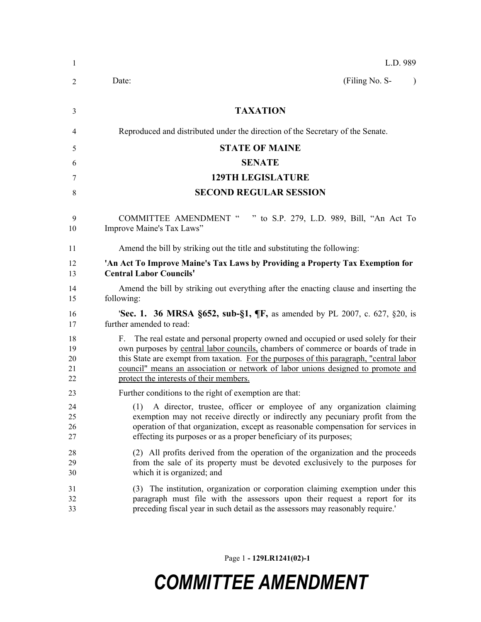| $\mathbf{1}$               | L.D. 989                                                                                                                                                                                                                                                                                                                                                                                             |
|----------------------------|------------------------------------------------------------------------------------------------------------------------------------------------------------------------------------------------------------------------------------------------------------------------------------------------------------------------------------------------------------------------------------------------------|
| 2                          | (Filing No. S-<br>Date:<br>$\lambda$                                                                                                                                                                                                                                                                                                                                                                 |
| 3                          | <b>TAXATION</b>                                                                                                                                                                                                                                                                                                                                                                                      |
| 4                          | Reproduced and distributed under the direction of the Secretary of the Senate.                                                                                                                                                                                                                                                                                                                       |
| 5                          | <b>STATE OF MAINE</b>                                                                                                                                                                                                                                                                                                                                                                                |
| 6                          | <b>SENATE</b>                                                                                                                                                                                                                                                                                                                                                                                        |
| 7                          | <b>129TH LEGISLATURE</b>                                                                                                                                                                                                                                                                                                                                                                             |
| 8                          | <b>SECOND REGULAR SESSION</b>                                                                                                                                                                                                                                                                                                                                                                        |
| 9<br>10                    | <b>COMMITTEE AMENDMENT "</b><br>" to S.P. 279, L.D. 989, Bill, "An Act To<br>Improve Maine's Tax Laws"                                                                                                                                                                                                                                                                                               |
| 11                         | Amend the bill by striking out the title and substituting the following:                                                                                                                                                                                                                                                                                                                             |
| 12<br>13                   | 'An Act To Improve Maine's Tax Laws by Providing a Property Tax Exemption for<br><b>Central Labor Councils'</b>                                                                                                                                                                                                                                                                                      |
| 14<br>15                   | Amend the bill by striking out everything after the enacting clause and inserting the<br>following:                                                                                                                                                                                                                                                                                                  |
| 16<br>17                   | <b>Sec. 1. 36 MRSA §652, sub-§1, ¶F, as amended by PL 2007, c. 627, §20, is</b><br>further amended to read:                                                                                                                                                                                                                                                                                          |
| 18<br>19<br>20<br>21<br>22 | F. The real estate and personal property owned and occupied or used solely for their<br>own purposes by central labor councils, chambers of commerce or boards of trade in<br>this State are exempt from taxation. For the purposes of this paragraph, "central labor<br>council" means an association or network of labor unions designed to promote and<br>protect the interests of their members. |
| 23                         | Further conditions to the right of exemption are that:                                                                                                                                                                                                                                                                                                                                               |
| 24<br>25<br>26<br>27       | (1) A director, trustee, officer or employee of any organization claiming<br>exemption may not receive directly or indirectly any pecuniary profit from the<br>operation of that organization, except as reasonable compensation for services in<br>effecting its purposes or as a proper beneficiary of its purposes;                                                                               |
| 28<br>29<br>30             | (2) All profits derived from the operation of the organization and the proceeds<br>from the sale of its property must be devoted exclusively to the purposes for<br>which it is organized; and                                                                                                                                                                                                       |
| 31<br>32<br>33             | (3) The institution, organization or corporation claiming exemption under this<br>paragraph must file with the assessors upon their request a report for its<br>preceding fiscal year in such detail as the assessors may reasonably require.'                                                                                                                                                       |

Page 1 **- 129LR1241(02)-1**

## *COMMITTEE AMENDMENT*